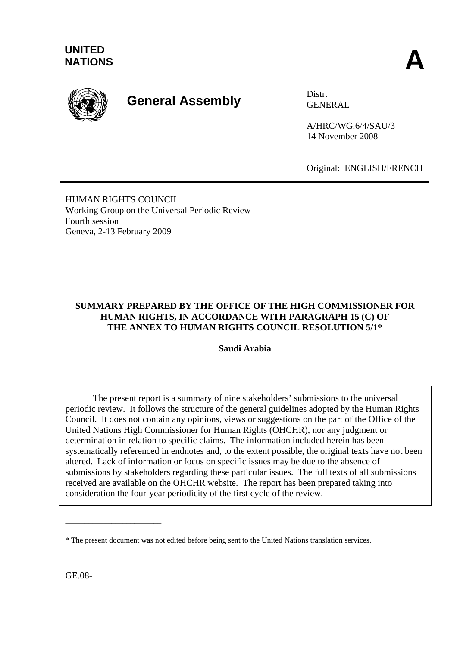

# **General Assembly** Distr.

GENERAL

A/HRC/WG.6/4/SAU/3 14 November 2008

Original: ENGLISH/FRENCH

HUMAN RIGHTS COUNCIL Working Group on the Universal Periodic Review Fourth session Geneva, 2-13 February 2009

## **SUMMARY PREPARED BY THE OFFICE OF THE HIGH COMMISSIONER FOR HUMAN RIGHTS, IN ACCORDANCE WITH PARAGRAPH 15 (C) OF THE ANNEX TO HUMAN RIGHTS COUNCIL RESOLUTION 5/1\***

**Saudi Arabia** 

The present report is a summary of nine stakeholders' submissions to the universal periodic review. It follows the structure of the general guidelines adopted by the Human Rights Council. It does not contain any opinions, views or suggestions on the part of the Office of the United Nations High Commissioner for Human Rights (OHCHR), nor any judgment or determination in relation to specific claims. The information included herein has been systematically referenced in endnotes and, to the extent possible, the original texts have not been altered. Lack of information or focus on specific issues may be due to the absence of submissions by stakeholders regarding these particular issues. The full texts of all submissions received are available on the OHCHR website. The report has been prepared taking into consideration the four-year periodicity of the first cycle of the review.

\_\_\_\_\_\_\_\_\_\_\_\_\_\_\_\_\_\_\_\_\_\_\_\_\_

<sup>\*</sup> The present document was not edited before being sent to the United Nations translation services.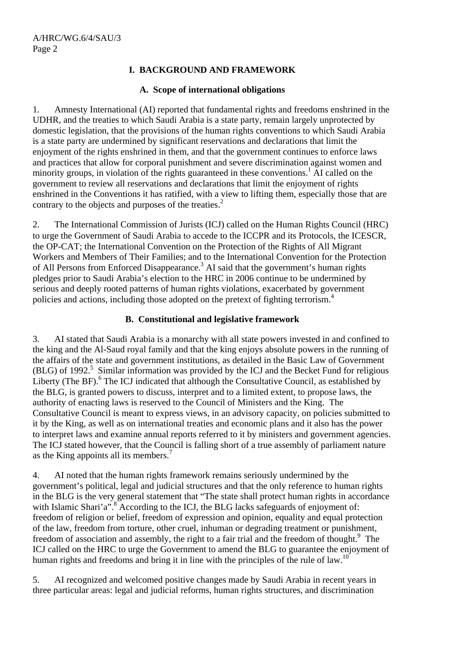# **I. BACKGROUND AND FRAMEWORK**

## **A. Scope of international obligations**

1. Amnesty International (AI) reported that fundamental rights and freedoms enshrined in the UDHR, and the treaties to which Saudi Arabia is a state party, remain largely unprotected by domestic legislation, that the provisions of the human rights conventions to which Saudi Arabia is a state party are undermined by significant reservations and declarations that limit the enjoyment of the rights enshrined in them, and that the government continues to enforce laws and practices that allow for corporal punishment and severe discrimination against women and minority groups, in violation of the rights guaranteed in these conventions.<sup>1</sup> AI called on the government to review all reservations and declarations that limit the enjoyment of rights enshrined in the Conventions it has ratified, with a view to lifting them, especially those that are contrary to the objects and purposes of the treaties.<sup>2</sup>

2. The International Commission of Jurists (ICJ) called on the Human Rights Council (HRC) to urge the Government of Saudi Arabia to accede to the ICCPR and its Protocols, the ICESCR, the OP-CAT; the International Convention on the Protection of the Rights of All Migrant Workers and Members of Their Families; and to the International Convention for the Protection of All Persons from Enforced Disappearance.<sup>3</sup> AI said that the government's human rights pledges prior to Saudi Arabia's election to the HRC in 2006 continue to be undermined by serious and deeply rooted patterns of human rights violations, exacerbated by government policies and actions, including those adopted on the pretext of fighting terrorism.<sup>4</sup>

## **B. Constitutional and legislative framework**

3. AI stated that Saudi Arabia is a monarchy with all state powers invested in and confined to the king and the Al-Saud royal family and that the king enjoys absolute powers in the running of the affairs of the state and government institutions, as detailed in the Basic Law of Government  $(BLG)$  of 1992.<sup>5</sup> Similar information was provided by the ICJ and the Becket Fund for religious Liberty (The BF).<sup>6</sup> The ICJ indicated that although the Consultative Council, as established by the BLG, is granted powers to discuss, interpret and to a limited extent, to propose laws, the authority of enacting laws is reserved to the Council of Ministers and the King. The Consultative Council is meant to express views, in an advisory capacity, on policies submitted to it by the King, as well as on international treaties and economic plans and it also has the power to interpret laws and examine annual reports referred to it by ministers and government agencies. The ICJ stated however, that the Council is falling short of a true assembly of parliament nature as the King appoints all its members.7

4. AI noted that the human rights framework remains seriously undermined by the government's political, legal and judicial structures and that the only reference to human rights in the BLG is the very general statement that "The state shall protect human rights in accordance with Islamic Shari'a".<sup>8</sup> According to the ICJ, the BLG lacks safeguards of enjoyment of: freedom of religion or belief, freedom of expression and opinion, equality and equal protection of the law, freedom from torture, other cruel, inhuman or degrading treatment or punishment, freedom of association and assembly, the right to a fair trial and the freedom of thought.<sup>9</sup> The ICJ called on the HRC to urge the Government to amend the BLG to guarantee the enjoyment of human rights and freedoms and bring it in line with the principles of the rule of law.<sup>10</sup>

5. AI recognized and welcomed positive changes made by Saudi Arabia in recent years in three particular areas: legal and judicial reforms, human rights structures, and discrimination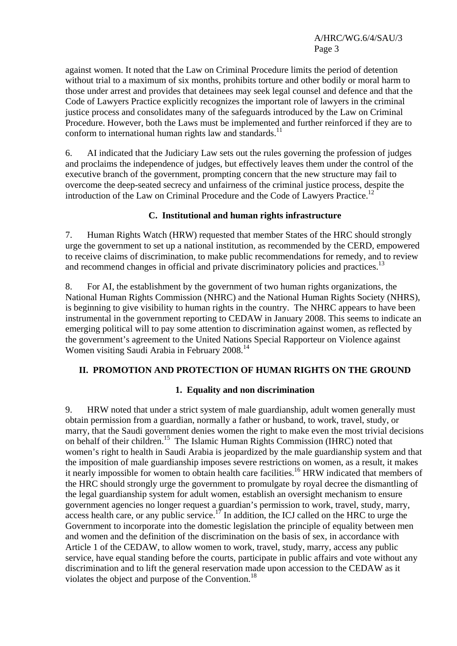against women. It noted that the Law on Criminal Procedure limits the period of detention without trial to a maximum of six months, prohibits torture and other bodily or moral harm to those under arrest and provides that detainees may seek legal counsel and defence and that the Code of Lawyers Practice explicitly recognizes the important role of lawyers in the criminal justice process and consolidates many of the safeguards introduced by the Law on Criminal Procedure. However, both the Laws must be implemented and further reinforced if they are to conform to international human rights law and standards.<sup>11</sup>

6. AI indicated that the Judiciary Law sets out the rules governing the profession of judges and proclaims the independence of judges, but effectively leaves them under the control of the executive branch of the government, prompting concern that the new structure may fail to overcome the deep-seated secrecy and unfairness of the criminal justice process, despite the introduction of the Law on Criminal Procedure and the Code of Lawyers Practice.<sup>12</sup>

## **C. Institutional and human rights infrastructure**

7. Human Rights Watch (HRW) requested that member States of the HRC should strongly urge the government to set up a national institution, as recommended by the CERD, empowered to receive claims of discrimination, to make public recommendations for remedy, and to review and recommend changes in official and private discriminatory policies and practices.<sup>13</sup>

8. For AI, the establishment by the government of two human rights organizations, the National Human Rights Commission (NHRC) and the National Human Rights Society (NHRS), is beginning to give visibility to human rights in the country. The NHRC appears to have been instrumental in the government reporting to CEDAW in January 2008. This seems to indicate an emerging political will to pay some attention to discrimination against women, as reflected by the government's agreement to the United Nations Special Rapporteur on Violence against Women visiting Saudi Arabia in February 2008.<sup>14</sup>

# **II. PROMOTION AND PROTECTION OF HUMAN RIGHTS ON THE GROUND**

## **1. Equality and non discrimination**

9. HRW noted that under a strict system of male guardianship, adult women generally must obtain permission from a guardian, normally a father or husband, to work, travel, study, or marry, that the Saudi government denies women the right to make even the most trivial decisions on behalf of their children.15 The Islamic Human Rights Commission (IHRC) noted that women's right to health in Saudi Arabia is jeopardized by the male guardianship system and that the imposition of male guardianship imposes severe restrictions on women, as a result, it makes it nearly impossible for women to obtain health care facilities.<sup>16</sup> HRW indicated that members of the HRC should strongly urge the government to promulgate by royal decree the dismantling of the legal guardianship system for adult women, establish an oversight mechanism to ensure government agencies no longer request a guardian's permission to work, travel, study, marry, access health care, or any public service.<sup>17</sup> In addition, the ICJ called on the HRC to urge the Government to incorporate into the domestic legislation the principle of equality between men and women and the definition of the discrimination on the basis of sex, in accordance with Article 1 of the CEDAW, to allow women to work, travel, study, marry, access any public service, have equal standing before the courts, participate in public affairs and vote without any discrimination and to lift the general reservation made upon accession to the CEDAW as it violates the object and purpose of the Convention.<sup>18</sup>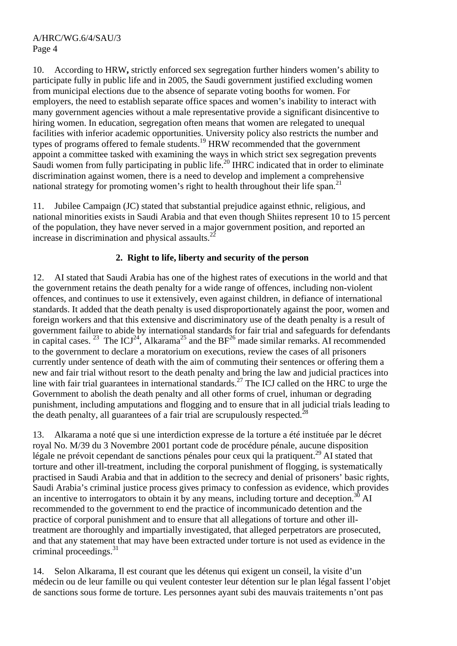10. According to HRW**,** strictly enforced sex segregation further hinders women's ability to participate fully in public life and in 2005, the Saudi government justified excluding women from municipal elections due to the absence of separate voting booths for women. For employers, the need to establish separate office spaces and women's inability to interact with many government agencies without a male representative provide a significant disincentive to hiring women. In education, segregation often means that women are relegated to unequal facilities with inferior academic opportunities. University policy also restricts the number and types of programs offered to female students.<sup>19</sup> HRW recommended that the government appoint a committee tasked with examining the ways in which strict sex segregation prevents Saudi women from fully participating in public life.<sup>20</sup> IHRC indicated that in order to eliminate discrimination against women, there is a need to develop and implement a comprehensive national strategy for promoting women's right to health throughout their life span.<sup>21</sup>

11. Jubilee Campaign (JC) stated that substantial prejudice against ethnic, religious, and national minorities exists in Saudi Arabia and that even though Shiites represent 10 to 15 percent of the population, they have never served in a major government position, and reported an increase in discrimination and physical assaults. $2^2$ 

## **2. Right to life, liberty and security of the person**

12. AI stated that Saudi Arabia has one of the highest rates of executions in the world and that the government retains the death penalty for a wide range of offences, including non-violent offences, and continues to use it extensively, even against children, in defiance of international standards. It added that the death penalty is used disproportionately against the poor, women and foreign workers and that this extensive and discriminatory use of the death penalty is a result of government failure to abide by international standards for fair trial and safeguards for defendants in capital cases. <sup>23</sup> The ICJ<sup>24</sup>, Alkarama<sup>25</sup> and the BF<sup>26</sup> made similar remarks. AI recommended to the government to declare a moratorium on executions, review the cases of all prisoners currently under sentence of death with the aim of commuting their sentences or offering them a new and fair trial without resort to the death penalty and bring the law and judicial practices into line with fair trial guarantees in international standards.<sup>27</sup> The ICJ called on the HRC to urge the Government to abolish the death penalty and all other forms of cruel, inhuman or degrading punishment, including amputations and flogging and to ensure that in all judicial trials leading to the death penalty, all guarantees of a fair trial are scrupulously respected.<sup>28</sup>

13. Alkarama a noté que si une interdiction expresse de la torture a été instituée par le décret royal No. M/39 du 3 Novembre 2001 portant code de procédure pénale, aucune disposition légale ne prévoit cependant de sanctions pénales pour ceux qui la pratiquent.<sup>29</sup> AI stated that torture and other ill-treatment, including the corporal punishment of flogging, is systematically practised in Saudi Arabia and that in addition to the secrecy and denial of prisoners' basic rights, Saudi Arabia's criminal justice process gives primacy to confession as evidence, which provides an incentive to interrogators to obtain it by any means, including torture and deception.<sup>30</sup> AI recommended to the government to end the practice of incommunicado detention and the practice of corporal punishment and to ensure that all allegations of torture and other illtreatment are thoroughly and impartially investigated, that alleged perpetrators are prosecuted, and that any statement that may have been extracted under torture is not used as evidence in the criminal proceedings.<sup>31</sup>

14. Selon Alkarama, Il est courant que les détenus qui exigent un conseil, la visite d'un médecin ou de leur famille ou qui veulent contester leur détention sur le plan légal fassent l'objet de sanctions sous forme de torture. Les personnes ayant subi des mauvais traitements n'ont pas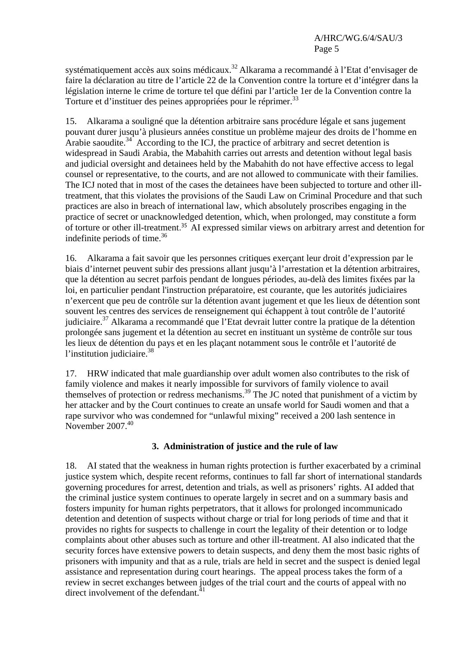systématiquement accès aux soins médicaux.<sup>32</sup> Alkarama a recommandé à l'Etat d'envisager de faire la déclaration au titre de l'article 22 de la Convention contre la torture et d'intégrer dans la législation interne le crime de torture tel que défini par l'article 1er de la Convention contre la Torture et d'instituer des peines appropriées pour le réprimer.<sup>33</sup>

15. Alkarama a souligné que la détention arbitraire sans procédure légale et sans jugement pouvant durer jusqu'à plusieurs années constitue un problème majeur des droits de l'homme en Arabie saoudite.<sup>34</sup> According to the ICJ, the practice of arbitrary and secret detention is widespread in Saudi Arabia, the Mabahith carries out arrests and detention without legal basis and judicial oversight and detainees held by the Mabahith do not have effective access to legal counsel or representative, to the courts, and are not allowed to communicate with their families. The ICJ noted that in most of the cases the detainees have been subjected to torture and other illtreatment, that this violates the provisions of the Saudi Law on Criminal Procedure and that such practices are also in breach of international law, which absolutely proscribes engaging in the practice of secret or unacknowledged detention, which, when prolonged, may constitute a form of torture or other ill-treatment. <sup>35</sup> AI expressed similar views on arbitrary arrest and detention for indefinite periods of time. $36$ 

16. Alkarama a fait savoir que les personnes critiques exerçant leur droit d'expression par le biais d'internet peuvent subir des pressions allant jusqu'à l'arrestation et la détention arbitraires, que la détention au secret parfois pendant de longues périodes, au-delà des limites fixées par la loi, en particulier pendant l'instruction préparatoire, est courante, que les autorités judiciaires n'exercent que peu de contrôle sur la détention avant jugement et que les lieux de détention sont souvent les centres des services de renseignement qui échappent à tout contrôle de l'autorité judiciaire.<sup>37</sup> Alkarama a recommandé que l'Etat devrait lutter contre la pratique de la détention prolongée sans jugement et la détention au secret en instituant un système de contrôle sur tous les lieux de détention du pays et en les plaçant notamment sous le contrôle et l'autorité de l'institution judiciaire.<sup>38</sup>

17. HRW indicated that male guardianship over adult women also contributes to the risk of family violence and makes it nearly impossible for survivors of family violence to avail themselves of protection or redress mechanisms.<sup>39</sup> The JC noted that punishment of a victim by her attacker and by the Court continues to create an unsafe world for Saudi women and that a rape survivor who was condemned for "unlawful mixing" received a 200 lash sentence in November  $2007<sup>40</sup>$ 

## **3. Administration of justice and the rule of law**

18. AI stated that the weakness in human rights protection is further exacerbated by a criminal justice system which, despite recent reforms, continues to fall far short of international standards governing procedures for arrest, detention and trials, as well as prisoners' rights. AI added that the criminal justice system continues to operate largely in secret and on a summary basis and fosters impunity for human rights perpetrators, that it allows for prolonged incommunicado detention and detention of suspects without charge or trial for long periods of time and that it provides no rights for suspects to challenge in court the legality of their detention or to lodge complaints about other abuses such as torture and other ill-treatment. AI also indicated that the security forces have extensive powers to detain suspects, and deny them the most basic rights of prisoners with impunity and that as a rule, trials are held in secret and the suspect is denied legal assistance and representation during court hearings. The appeal process takes the form of a review in secret exchanges between judges of the trial court and the courts of appeal with no direct involvement of the defendant.<sup>41</sup>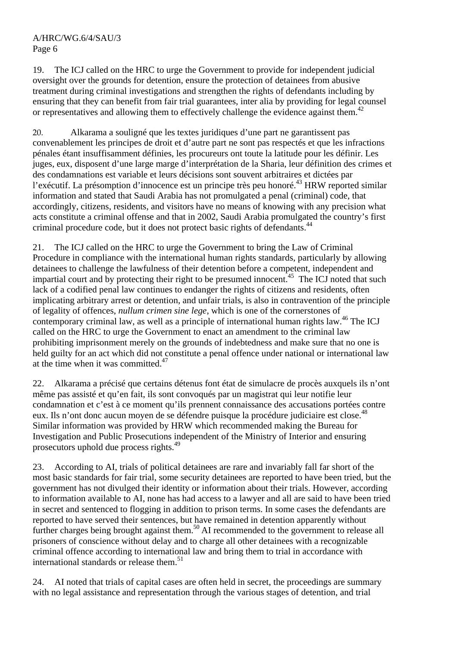#### A/HRC/WG.6/4/SAU/3 Page 6

19. The ICJ called on the HRC to urge the Government to provide for independent judicial oversight over the grounds for detention, ensure the protection of detainees from abusive treatment during criminal investigations and strengthen the rights of defendants including by ensuring that they can benefit from fair trial guarantees, inter alia by providing for legal counsel or representatives and allowing them to effectively challenge the evidence against them.<sup>42</sup>

20. Alkarama a souligné que les textes juridiques d'une part ne garantissent pas convenablement les principes de droit et d'autre part ne sont pas respectés et que les infractions pénales étant insuffisamment définies, les procureurs ont toute la latitude pour les définir. Les juges, eux, disposent d'une large marge d'interprétation de la Sharia, leur définition des crimes et des condamnations est variable et leurs décisions sont souvent arbitraires et dictées par l'exécutif. La présomption d'innocence est un principe très peu honoré.<sup>43</sup> HRW reported similar information and stated that Saudi Arabia has not promulgated a penal (criminal) code, that accordingly, citizens, residents, and visitors have no means of knowing with any precision what acts constitute a criminal offense and that in 2002, Saudi Arabia promulgated the country's first criminal procedure code, but it does not protect basic rights of defendants.<sup>44</sup>

21. The ICJ called on the HRC to urge the Government to bring the Law of Criminal Procedure in compliance with the international human rights standards, particularly by allowing detainees to challenge the lawfulness of their detention before a competent, independent and impartial court and by protecting their right to be presumed innocent.<sup>45</sup> The ICJ noted that such lack of a codified penal law continues to endanger the rights of citizens and residents, often implicating arbitrary arrest or detention, and unfair trials, is also in contravention of the principle of legality of offences, *nullum crimen sine lege*, which is one of the cornerstones of contemporary criminal law, as well as a principle of international human rights law.<sup>46</sup> The ICJ called on the HRC to urge the Government to enact an amendment to the criminal law prohibiting imprisonment merely on the grounds of indebtedness and make sure that no one is held guilty for an act which did not constitute a penal offence under national or international law at the time when it was committed.<sup>47</sup>

22. Alkarama a précisé que certains détenus font état de simulacre de procès auxquels ils n'ont même pas assisté et qu'en fait, ils sont convoqués par un magistrat qui leur notifie leur condamnation et c'est à ce moment qu'ils prennent connaissance des accusations portées contre eux. Ils n'ont donc aucun moyen de se défendre puisque la procédure judiciaire est close.<sup>48</sup> Similar information was provided by HRW which recommended making the Bureau for Investigation and Public Prosecutions independent of the Ministry of Interior and ensuring prosecutors uphold due process rights.<sup>49</sup>

23. According to AI, trials of political detainees are rare and invariably fall far short of the most basic standards for fair trial, some security detainees are reported to have been tried, but the government has not divulged their identity or information about their trials. However, according to information available to AI, none has had access to a lawyer and all are said to have been tried in secret and sentenced to flogging in addition to prison terms. In some cases the defendants are reported to have served their sentences, but have remained in detention apparently without further charges being brought against them.<sup>50</sup> AI recommended to the government to release all prisoners of conscience without delay and to charge all other detainees with a recognizable criminal offence according to international law and bring them to trial in accordance with international standards or release them.<sup>51</sup>

24. AI noted that trials of capital cases are often held in secret, the proceedings are summary with no legal assistance and representation through the various stages of detention, and trial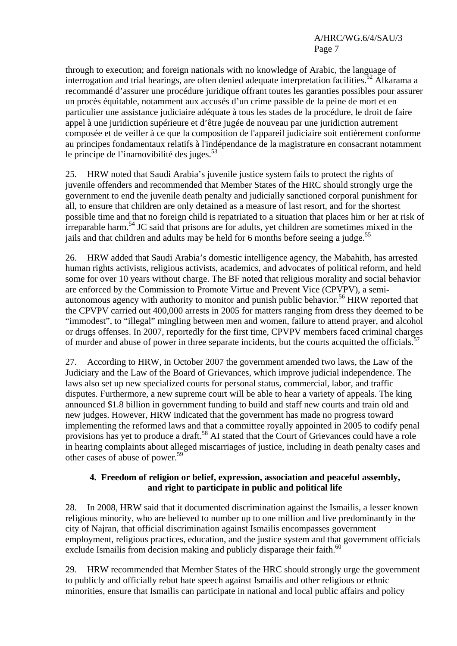## A/HRC/WG.6/4/SAU/3 Page 7

through to execution; and foreign nationals with no knowledge of Arabic, the language of interrogation and trial hearings, are often denied adequate interpretation facilities.<sup>52</sup> Alkarama a recommandé d'assurer une procédure juridique offrant toutes les garanties possibles pour assurer un procès équitable, notamment aux accusés d'un crime passible de la peine de mort et en particulier une assistance judiciaire adéquate à tous les stades de la procédure, le droit de faire appel à une juridiction supérieure et d'être jugée de nouveau par une juridiction autrement composée et de veiller à ce que la composition de l'appareil judiciaire soit entièrement conforme au principes fondamentaux relatifs à l'indépendance de la magistrature en consacrant notamment le principe de l'inamovibilité des juges. $53$ 

25. HRW noted that Saudi Arabia's juvenile justice system fails to protect the rights of juvenile offenders and recommended that Member States of the HRC should strongly urge the government to end the juvenile death penalty and judicially sanctioned corporal punishment for all, to ensure that children are only detained as a measure of last resort, and for the shortest possible time and that no foreign child is repatriated to a situation that places him or her at risk of irreparable harm.<sup>54</sup> JC said that prisons are for adults, yet children are sometimes mixed in the jails and that children and adults may be held for 6 months before seeing a judge.<sup>55</sup>

26. HRW added that Saudi Arabia's domestic intelligence agency, the Mabahith, has arrested human rights activists, religious activists, academics, and advocates of political reform, and held some for over 10 years without charge. The BF noted that religious morality and social behavior are enforced by the Commission to Promote Virtue and Prevent Vice (CPVPV), a semiautonomous agency with authority to monitor and punish public behavior.<sup>56</sup> HRW reported that the CPVPV carried out 400,000 arrests in 2005 for matters ranging from dress they deemed to be "immodest", to "illegal" mingling between men and women, failure to attend prayer, and alcohol or drugs offenses. In 2007, reportedly for the first time, CPVPV members faced criminal charges of murder and abuse of power in three separate incidents, but the courts acquitted the officials.<sup>57</sup>

27. According to HRW, in October 2007 the government amended two laws, the Law of the Judiciary and the Law of the Board of Grievances, which improve judicial independence. The laws also set up new specialized courts for personal status, commercial, labor, and traffic disputes. Furthermore, a new supreme court will be able to hear a variety of appeals. The king announced \$1.8 billion in government funding to build and staff new courts and train old and new judges. However, HRW indicated that the government has made no progress toward implementing the reformed laws and that a committee royally appointed in 2005 to codify penal provisions has yet to produce a draft.<sup>58</sup> AI stated that the Court of Grievances could have a role in hearing complaints about alleged miscarriages of justice, including in death penalty cases and other cases of abuse of power.<sup>59</sup>

#### **4. Freedom of religion or belief, expression, association and peaceful assembly, and right to participate in public and political life**

28. In 2008, HRW said that it documented discrimination against the Ismailis, a lesser known religious minority, who are believed to number up to one million and live predominantly in the city of Najran, that official discrimination against Ismailis encompasses government employment, religious practices, education, and the justice system and that government officials exclude Ismailis from decision making and publicly disparage their faith.<sup>60</sup>

29. HRW recommended that Member States of the HRC should strongly urge the government to publicly and officially rebut hate speech against Ismailis and other religious or ethnic minorities, ensure that Ismailis can participate in national and local public affairs and policy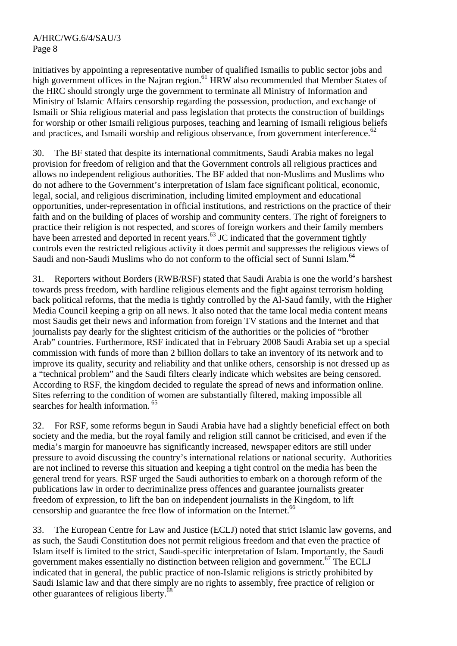initiatives by appointing a representative number of qualified Ismailis to public sector jobs and high government offices in the Najran region.<sup>61</sup> HRW also recommended that Member States of the HRC should strongly urge the government to terminate all Ministry of Information and Ministry of Islamic Affairs censorship regarding the possession, production, and exchange of Ismaili or Shia religious material and pass legislation that protects the construction of buildings for worship or other Ismaili religious purposes, teaching and learning of Ismaili religious beliefs and practices, and Ismaili worship and religious observance, from government interference.<sup>62</sup>

30. The BF stated that despite its international commitments, Saudi Arabia makes no legal provision for freedom of religion and that the Government controls all religious practices and allows no independent religious authorities. The BF added that non-Muslims and Muslims who do not adhere to the Government's interpretation of Islam face significant political, economic, legal, social, and religious discrimination, including limited employment and educational opportunities, under-representation in official institutions, and restrictions on the practice of their faith and on the building of places of worship and community centers. The right of foreigners to practice their religion is not respected, and scores of foreign workers and their family members have been arrested and deported in recent years.<sup>63</sup> JC indicated that the government tightly controls even the restricted religious activity it does permit and suppresses the religious views of Saudi and non-Saudi Muslims who do not conform to the official sect of Sunni Islam.<sup>64</sup>

31. Reporters without Borders (RWB/RSF) stated that Saudi Arabia is one the world's harshest towards press freedom, with hardline religious elements and the fight against terrorism holding back political reforms, that the media is tightly controlled by the Al-Saud family, with the Higher Media Council keeping a grip on all news. It also noted that the tame local media content means most Saudis get their news and information from foreign TV stations and the Internet and that journalists pay dearly for the slightest criticism of the authorities or the policies of "brother Arab" countries. Furthermore, RSF indicated that in February 2008 Saudi Arabia set up a special commission with funds of more than 2 billion dollars to take an inventory of its network and to improve its quality, security and reliability and that unlike others, censorship is not dressed up as a "technical problem" and the Saudi filters clearly indicate which websites are being censored. According to RSF, the kingdom decided to regulate the spread of news and information online. Sites referring to the condition of women are substantially filtered, making impossible all searches for health information.<sup>65</sup>

32. For RSF, some reforms begun in Saudi Arabia have had a slightly beneficial effect on both society and the media, but the royal family and religion still cannot be criticised, and even if the media's margin for manoeuvre has significantly increased, newspaper editors are still under pressure to avoid discussing the country's international relations or national security. Authorities are not inclined to reverse this situation and keeping a tight control on the media has been the general trend for years. RSF urged the Saudi authorities to embark on a thorough reform of the publications law in order to decriminalize press offences and guarantee journalists greater freedom of expression, to lift the ban on independent journalists in the Kingdom, to lift censorship and guarantee the free flow of information on the Internet.<sup>66</sup>

33. The European Centre for Law and Justice (ECLJ) noted that strict Islamic law governs, and as such, the Saudi Constitution does not permit religious freedom and that even the practice of Islam itself is limited to the strict, Saudi-specific interpretation of Islam. Importantly, the Saudi government makes essentially no distinction between religion and government.<sup>67</sup> The ECLJ indicated that in general, the public practice of non-Islamic religions is strictly prohibited by Saudi Islamic law and that there simply are no rights to assembly, free practice of religion or other guarantees of religious liberty.68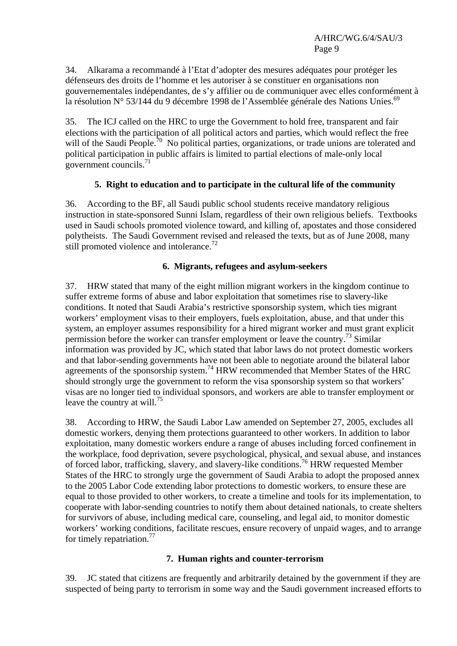34. Alkarama a recommandé à l'Etat d'adopter des mesures adéquates pour protéger les défenseurs des droits de l'homme et les autoriser à se constituer en organisations non gouvernementales indépendantes, de s'y affilier ou de communiquer avec elles conformément à la résolution N° 53/144 du 9 décembre 1998 de l'Assemblée générale des Nations Unies.<sup>69</sup>

35. The ICJ called on the HRC to urge the Government to hold free, transparent and fair elections with the participation of all political actors and parties, which would reflect the free will of the Saudi People.<sup>70</sup> No political parties, organizations, or trade unions are tolerated and political participation in public affairs is limited to partial elections of male-only local government councils. $^{71}$ 

## **5. Right to education and to participate in the cultural life of the community**

36. According to the BF, all Saudi public school students receive mandatory religious instruction in state-sponsored Sunni Islam, regardless of their own religious beliefs. Textbooks used in Saudi schools promoted violence toward, and killing of, apostates and those considered polytheists. The Saudi Government revised and released the texts, but as of June 2008, many still promoted violence and intolerance.<sup>72</sup>

## **6. Migrants, refugees and asylum-seekers**

37. HRW stated that many of the eight million migrant workers in the kingdom continue to suffer extreme forms of abuse and labor exploitation that sometimes rise to slavery-like conditions. It noted that Saudi Arabia's restrictive sponsorship system, which ties migrant workers' employment visas to their employers, fuels exploitation, abuse, and that under this system, an employer assumes responsibility for a hired migrant worker and must grant explicit permission before the worker can transfer employment or leave the country.<sup>73</sup> Similar information was provided by JC, which stated that labor laws do not protect domestic workers and that labor-sending governments have not been able to negotiate around the bilateral labor agreements of the sponsorship system.<sup>74</sup> HRW recommended that Member States of the HRC should strongly urge the government to reform the visa sponsorship system so that workers' visas are no longer tied to individual sponsors, and workers are able to transfer employment or leave the country at will.<sup>75</sup>

38. According to HRW, the Saudi Labor Law amended on September 27, 2005, excludes all domestic workers, denying them protections guaranteed to other workers. In addition to labor exploitation, many domestic workers endure a range of abuses including forced confinement in the workplace, food deprivation, severe psychological, physical, and sexual abuse, and instances of forced labor, trafficking, slavery, and slavery-like conditions.<sup>76</sup> HRW requested Member States of the HRC to strongly urge the government of Saudi Arabia to adopt the proposed annex to the 2005 Labor Code extending labor protections to domestic workers, to ensure these are equal to those provided to other workers, to create a timeline and tools for its implementation, to cooperate with labor-sending countries to notify them about detained nationals, to create shelters for survivors of abuse, including medical care, counseling, and legal aid, to monitor domestic workers' working conditions, facilitate rescues, ensure recovery of unpaid wages, and to arrange for timely repatriation.<sup>77</sup>

# **7. Human rights and counter-terrorism**

39. JC stated that citizens are frequently and arbitrarily detained by the government if they are suspected of being party to terrorism in some way and the Saudi government increased efforts to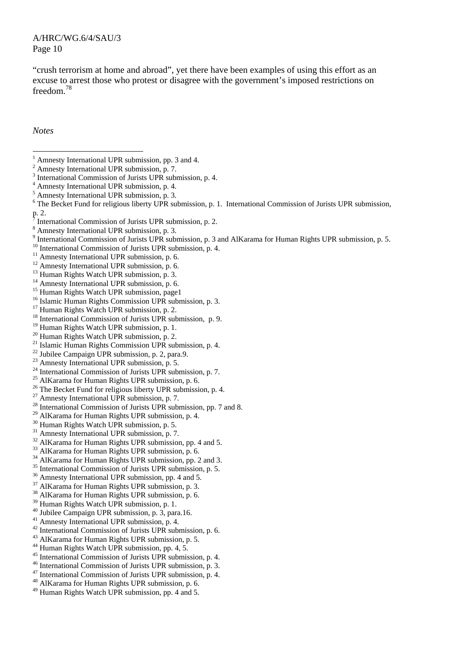#### A/HRC/WG.6/4/SAU/3 Page 10

"crush terrorism at home and abroad", yet there have been examples of using this effort as an excuse to arrest those who protest or disagree with the government's imposed restrictions on freedom<sup>78</sup>

*Notes* 

- <sup>12</sup> Amnesty International UPR submission, p. 6.
- <sup>13</sup> Human Rights Watch UPR submission, p. 3.
- $14$  Amnesty International UPR submission, p. 6.
- <sup>15</sup> Human Rights Watch UPR submission, page1
- <sup>16</sup> Islamic Human Rights Commission UPR submission, p. 3.
- <sup>17</sup> Human Rights Watch UPR submission, p. 2.
- <sup>18</sup> International Commission of Jurists UPR submission, p. 9.
- <sup>19</sup> Human Rights Watch UPR submission, p. 1.
- <sup>20</sup> Human Rights Watch UPR submission, p. 2.
- <sup>21</sup> Islamic Human Rights Commission UPR submission, p. 4.
- $22$  Jubilee Campaign UPR submission, p. 2, para.9.
- <sup>23</sup> Amnesty International UPR submission, p. 5.
- <sup>24</sup> International Commission of Jurists UPR submission, p. 7.<br><sup>25</sup> AlKarama for Human Rights UPR submission, p. 6.
- 
- $26$  The Becket Fund for religious liberty UPR submission, p. 4.
- <sup>27</sup> Amnesty International UPR submission, p. 7.
- $^{28}$  International Commission of Jurists UPR submission, pp. 7 and 8.
- <sup>29</sup> AlKarama for Human Rights UPR submission, p. 4.
- <sup>30</sup> Human Rights Watch UPR submission, p. 5.
- <sup>31</sup> Amnesty International UPR submission, p. 7.
- <sup>32</sup> AlKarama for Human Rights UPR submission, pp. 4 and 5.
- <sup>33</sup> AlKarama for Human Rights UPR submission, p. 6.
- <sup>34</sup> AlKarama for Human Rights UPR submission, pp. 2 and 3.
- <sup>35</sup> International Commission of Jurists UPR submission, p. 5.<br><sup>36</sup> Amnesty International UPR submission, pp. 4 and 5.
- 
- 37 AlKarama for Human Rights UPR submission, p. 3.
- 38 AlKarama for Human Rights UPR submission, p. 6.
- <sup>39</sup> Human Rights Watch UPR submission, p. 1.
- 40 Jubilee Campaign UPR submission, p. 3, para.16.
- 41 Amnesty International UPR submission, p. 4.
- <sup>42</sup> International Commission of Jurists UPR submission, p. 6.<br><sup>43</sup> AlKarama for Human Rights UPR submission, p. 5.
- 
- <sup>44</sup> Human Rights Watch UPR submission, pp. 4, 5.<br><sup>45</sup> International Commission of Jurists UPR submission, p. 4.
- 
- <sup>46</sup> International Commission of Jurists UPR submission, p. 3.<br><sup>47</sup> International Commission of Jurists UPR submission, p. 4.<br><sup>48</sup> AlKarama for Human Rights UPR submission, p. 6.
- 
- 
- 49 Human Rights Watch UPR submission, pp. 4 and 5.

<sup>&</sup>lt;sup>1</sup> Amnesty International UPR submission, pp. 3 and 4.

Amnesty International UPR submission, p. 7.

<sup>&</sup>lt;sup>3</sup> International Commission of Jurists UPR submission, p. 4.<br> $\frac{4}{3}$  Amperty International UPB submission, p. 4.

<sup>&</sup>lt;sup>4</sup> Amnesty International UPR submission, p. 4.

<sup>5</sup> Amnesty International UPR submission, p. 3.

<sup>&</sup>lt;sup>6</sup> The Becket Fund for religious liberty UPR submission, p. 1. International Commission of Jurists UPR submission,  $\frac{p}{7}$  Leto

International Commission of Jurists UPR submission, p. 2.

Amnesty International UPR submission, p. 3.

<sup>&</sup>lt;sup>9</sup> International Commission of Jurists UPR submission, p. 3 and AlKarama for Human Rights UPR submission, p. 5.

<sup>&</sup>lt;sup>10</sup> International Commission of Jurists UPR submission, p. 4. <sup>11</sup> Amnesty International UPR submission, p. 6.